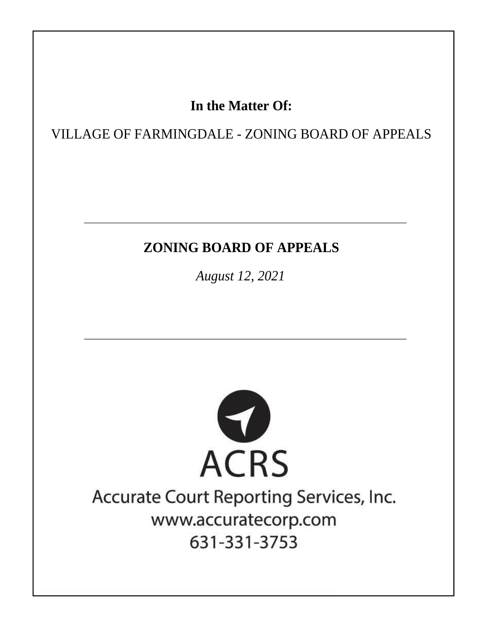## In the Matter Of:

VILLAGE OF FARMINGDALE - ZONING BOARD OF APPEALS

# **ZONING BOARD OF APPEALS**

August 12, 2021



# Accurate Court Reporting Services, Inc. www.accuratecorp.com 631-331-3753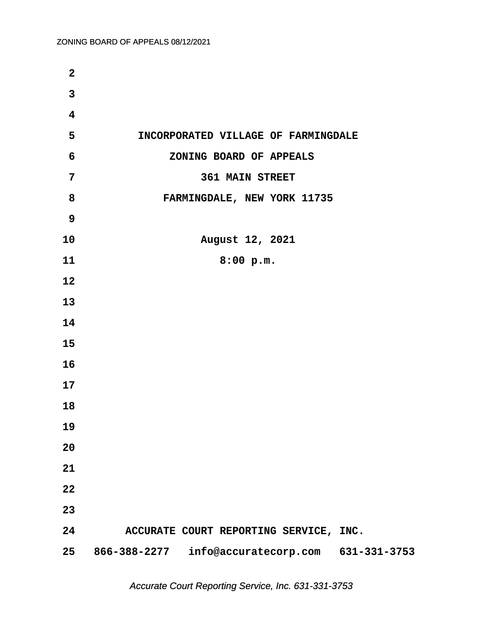| $\overline{2}$          |                                        |
|-------------------------|----------------------------------------|
| $\overline{\mathbf{3}}$ |                                        |
| $\overline{\mathbf{4}}$ |                                        |
| 5                       | INCORPORATED VILLAGE OF FARMINGDALE    |
| 6                       | ZONING BOARD OF APPEALS                |
| $\overline{7}$          | <b>361 MAIN STREET</b>                 |
| 8                       | FARMINGDALE, NEW YORK 11735            |
| 9                       |                                        |
| 10                      | August 12, 2021                        |
| 11                      | 8:00 p.m.                              |
| 12                      |                                        |
| 13                      |                                        |
| 14                      |                                        |
| 15                      |                                        |
| 16                      |                                        |
| 17                      |                                        |
| 18                      |                                        |
| 19                      |                                        |
| 20                      |                                        |
| 21                      |                                        |
| 22                      |                                        |
| 23                      |                                        |
| 24                      | ACCURATE COURT REPORTING SERVICE, INC. |
| 25                      |                                        |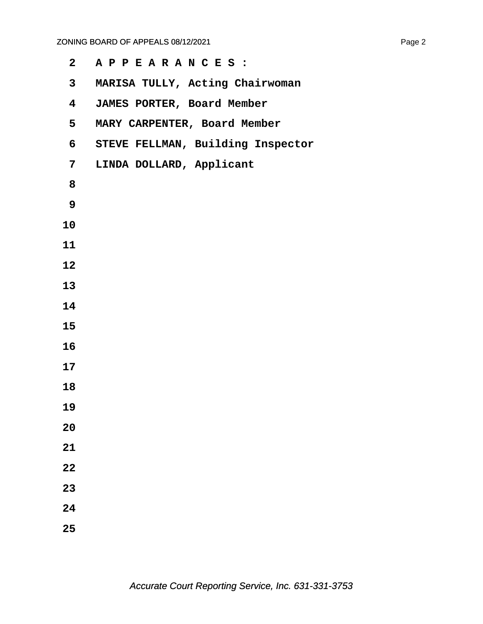| $\mathbf{2}$   | APPEARANCES:                      |
|----------------|-----------------------------------|
| $\mathbf{3}$   | MARISA TULLY, Acting Chairwoman   |
| 4              | JAMES PORTER, Board Member        |
| 5              | MARY CARPENTER, Board Member      |
| 6              | STEVE FELLMAN, Building Inspector |
| $\overline{7}$ | LINDA DOLLARD, Applicant          |
| 8              |                                   |
| 9              |                                   |
| 10             |                                   |
| 11             |                                   |
| 12             |                                   |
| 13             |                                   |
| 14             |                                   |
| 15             |                                   |
| 16             |                                   |
| 17             |                                   |
| 18             |                                   |
| 19             |                                   |
| 20             |                                   |
| 21             |                                   |
| 22             |                                   |
| 23             |                                   |
| 24             |                                   |
| 25             |                                   |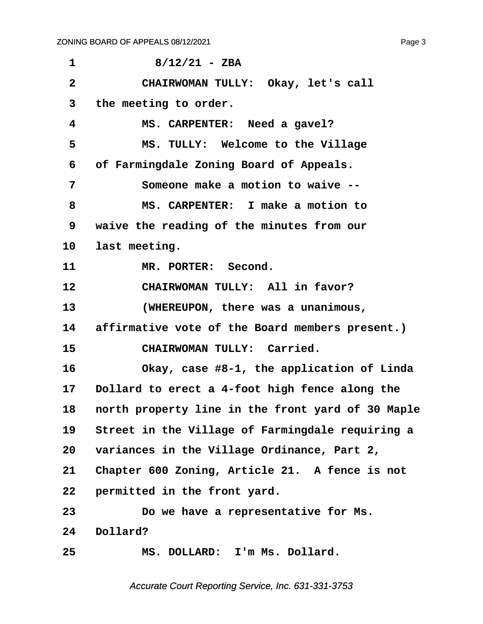<span id="page-3-0"></span>

| 1            | $8/12/21 - ZBA$                                   |
|--------------|---------------------------------------------------|
| $\mathbf{2}$ | CHAIRWOMAN TULLY: Okay, let's call                |
| 3            | the meeting to order.                             |
| 4            | MS. CARPENTER: Need a gavel?                      |
| 5            | MS. TULLY: Welcome to the Village                 |
| 6            | of Farmingdale Zoning Board of Appeals.           |
| 7            | Someone make a motion to waive --                 |
| 8            | MS. CARPENTER: I make a motion to                 |
| 9            | waive the reading of the minutes from our         |
| 10           | last meeting.                                     |
| 11           | MR. PORTER: Second.                               |
| 12           | CHAIRWOMAN TULLY: All in favor?                   |
| 13           | (WHEREUPON, there was a unanimous,                |
| 14           | affirmative vote of the Board members present.)   |
| 15           | CHAIRWOMAN TULLY: Carried.                        |
| 16           | Okay, case #8-1, the application of Linda         |
| 17           | Dollard to erect a 4-foot high fence along the    |
| 18           | north property line in the front yard of 30 Maple |
| 19           | Street in the Village of Farmingdale requiring a  |
| 20           | variances in the Village Ordinance, Part 2,       |
| 21           | Chapter 600 Zoning, Article 21. A fence is not    |
| 22           | permitted in the front yard.                      |
| 23           | Do we have a representative for Ms.               |
| 24           | Dollard?                                          |
| 25           | MS. DOLLARD: I'm Ms. Dollard.                     |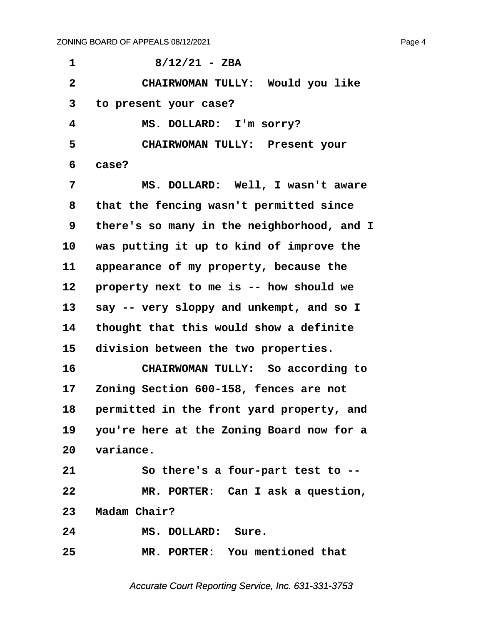<span id="page-4-0"></span>

| 1                       | $8/12/21 - ZBA$                              |
|-------------------------|----------------------------------------------|
| $\overline{\mathbf{2}}$ | CHAIRWOMAN TULLY: Would you like             |
| 3                       | to present your case?                        |
| 4                       | MS. DOLLARD: I'm sorry?                      |
| 5                       | CHAIRWOMAN TULLY: Present your               |
| 6                       | case?                                        |
| 7                       | MS. DOLLARD: Well, I wasn't aware            |
| 8                       | that the fencing wasn't permitted since      |
| 9                       | there's so many in the neighborhood, and I   |
| 10                      | was putting it up to kind of improve the     |
| 11                      | appearance of my property, because the       |
| 12                      | property next to me is -- how should we      |
| 13                      | say -- very sloppy and unkempt, and so I     |
| 14                      | thought that this would show a definite      |
| 15                      | division between the two properties.         |
| 16                      | CHAIRWOMAN TULLY: So according to            |
| 17                      | Zoning Section 600-158, fences are not       |
| 18                      | permitted in the front yard property, and    |
|                         | 19 you're here at the Zoning Board now for a |
|                         | 20 variance.                                 |
| 21                      | So there's a four-part test to --            |
| 22                      | MR. PORTER: Can I ask a question,            |
|                         | 23 Madam Chair?                              |
| 24                      | MS. DOLLARD: Sure.                           |
| 25                      | MR. PORTER: You mentioned that               |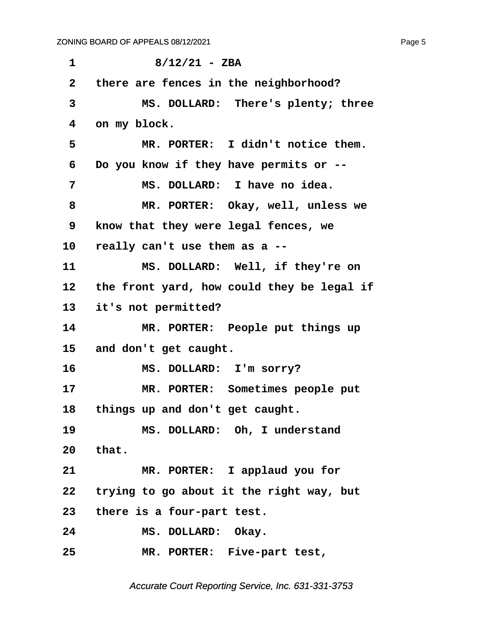<span id="page-5-0"></span>**·1· · · · · · 8/12/21 - ZBA ·2· ·there are fences in the neighborhood? ·3· · · · · MS. DOLLARD:· There's plenty; three ·4· ·on my block. ·5· · · · · MR. PORTER:· I didn't notice them. ·6· ·Do you know if they have permits or -- ·7· · · · · MS. DOLLARD:· I have no idea. ·8· · · · · MR. PORTER:· Okay, well, unless we ·9· ·know that they were legal fences, we 10· ·really can't use them as a --** 11 MS. DOLLARD: Well, if they're on 12 the front yard, how could they be legal if **13· ·it's not permitted?** 14 MR. PORTER: People put things up 15 and don't get caught. 16 **MS. DOLLARD:** I'm sorry? 17 MR. PORTER: Sometimes people put 18 things up and don't get caught. 19 MS. DOLLARD: Oh, I understand **20· ·that.** 21 MR. PORTER: I applaud you for **22· ·trying to go about it the right way, but 23· ·there is a four-part test.** 24 MS. DOLLARD: Okay. **25· · · · · MR. PORTER:· Five-part test,**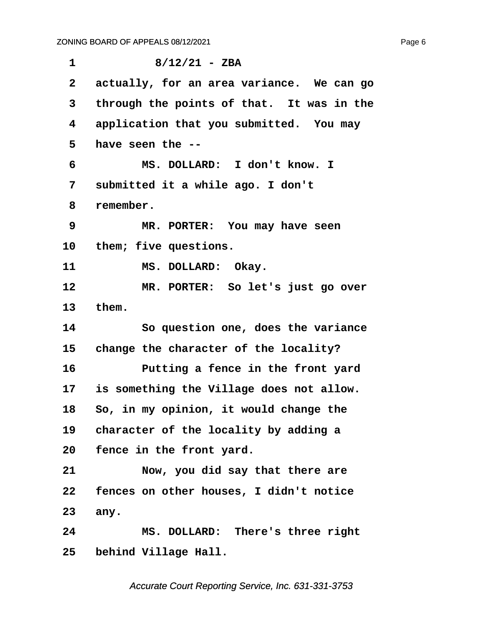<span id="page-6-0"></span>

| 1            | $8/12/21 - ZBA$                           |
|--------------|-------------------------------------------|
| $\mathbf{2}$ | actually, for an area variance. We can go |
| 3            | through the points of that. It was in the |
| 4            | application that you submitted. You may   |
| 5            | have seen the --                          |
| 6            | MS. DOLLARD: I don't know. I              |
| 7            | submitted it a while ago. I don't         |
| 8            | remember.                                 |
| 9            | MR. PORTER: You may have seen             |
| 10           | them; five questions.                     |
| 11           | MS. DOLLARD: Okay.                        |
| 12           | MR. PORTER: So let's just go over         |
| 13           | them.                                     |
| 14           | So question one, does the variance        |
| 15           | change the character of the locality?     |
| 16           | Putting a fence in the front yard         |
| 17           | is something the Village does not allow.  |
| 18           | So, in my opinion, it would change the    |
| 19           | character of the locality by adding a     |
| 20           | fence in the front yard.                  |
| 21           | Now, you did say that there are           |
| 22           | fences on other houses, I didn't notice   |
| 23           | any.                                      |
| 24           | MS. DOLLARD: There's three right          |
| 25           | behind Village Hall.                      |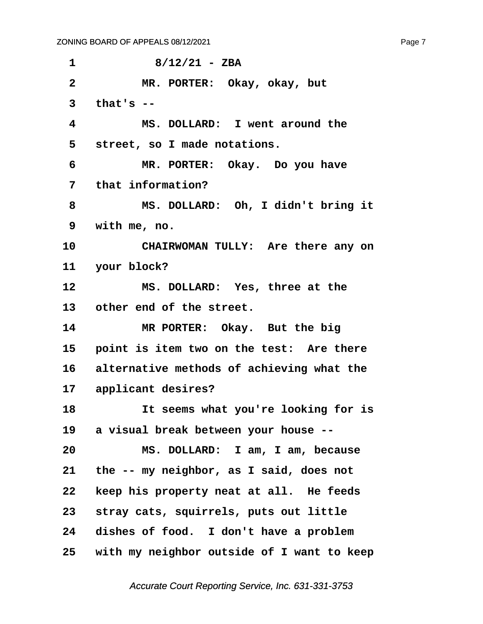<span id="page-7-0"></span>**·1· · · · · · 8/12/21 - ZBA ·2· · · · · MR. PORTER:· Okay, okay, but ·3· ·that's -- ·4· · · · · MS. DOLLARD:· I went around the ·5· ·street, so I made notations. ·6· · · · · MR. PORTER:· Okay.· Do you have ·7· ·that information? ·8· · · · · MS. DOLLARD:· Oh, I didn't bring it ·9· ·with me, no.** 10 **CHAIRWOMAN TULLY:** Are there any on 11 your block? 12 **MS. DOLLARD:** Yes, three at the 13 other end of the street. 14 **MR PORTER:** Okay. But the big 15 point is item two on the test: Are there 16 alternative methods of achieving what the 17 applicant desires? **18· · · · · It seems what you're looking for is 19· ·a visual break between your house -- 20· · · · · MS. DOLLARD:· I am, I am, because 21· ·the -- my neighbor, as I said, does not 22· ·keep his property neat at all.· He feeds** 23 stray cats, squirrels, puts out little 24 dishes of food. I don't have a problem **25· ·with my neighbor outside of I want to keep**

Accurate Court Reporting Service, Inc. 631-331-3753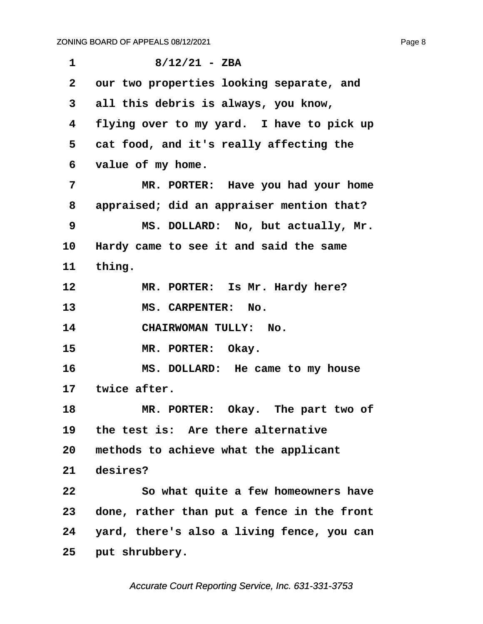<span id="page-8-0"></span>

| $\mathbf 1$  | $8/12/21 - ZBA$                            |
|--------------|--------------------------------------------|
| $\mathbf{2}$ | our two properties looking separate, and   |
| 3            | all this debris is always, you know,       |
| 4            | flying over to my yard. I have to pick up  |
| 5            | cat food, and it's really affecting the    |
| 6            | value of my home.                          |
| 7            | MR. PORTER: Have you had your home         |
| 8            | appraised; did an appraiser mention that?  |
| 9            | MS. DOLLARD: No, but actually, Mr.         |
| 10           | Hardy came to see it and said the same     |
| 11           | thing.                                     |
| 12           | MR. PORTER: Is Mr. Hardy here?             |
| 13           | <b>MS. CARPENTER:</b><br>No.               |
| 14           | CHAIRWOMAN TULLY: No.                      |
| 15           | MR. PORTER: Okay.                          |
| 16           | MS. DOLLARD: He came to my house           |
|              | 17 twice after.                            |
| 18           | MR. PORTER: Okay. The part two of          |
| 19           | the test is: Are there alternative         |
| 20           | methods to achieve what the applicant      |
| 21           | desires?                                   |
| 22           | So what quite a few homeowners have        |
| 23           | done, rather than put a fence in the front |
| 24           | yard, there's also a living fence, you can |
| 25           | put shrubbery.                             |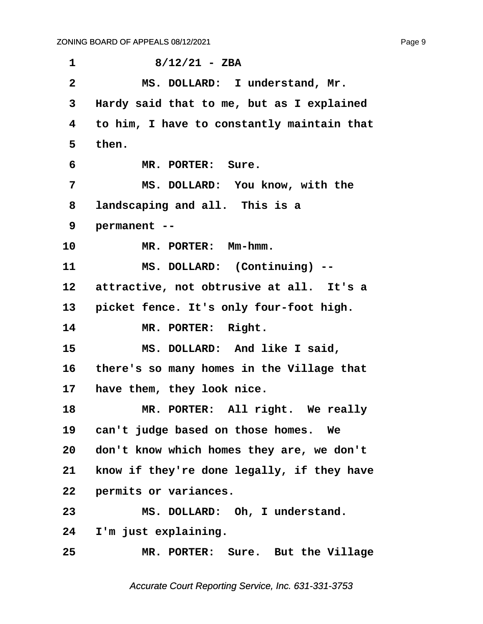<span id="page-9-0"></span>**·1· · · · · · 8/12/21 - ZBA ·2· · · · · MS. DOLLARD:· I understand, Mr. ·3· ·Hardy said that to me, but as I explained ·4· ·to him, I have to constantly maintain that ·5· ·then. ·6· · · · · MR. PORTER:· Sure. ·7· · · · · MS. DOLLARD:· You know, with the ·8· ·landscaping and all.· This is a ·9· ·permanent --** 10 MR. PORTER: Mm-hmm. 11 MS. DOLLARD: (Continuing) --12 attractive, not obtrusive at all. It's a 13 **picket fence. It's only four-foot high.** 14 MR. PORTER: Right. 15 **8 MS. DOLLARD:** And like I said, **16· ·there's so many homes in the Village that** 17 have them, they look nice. **18· · · · · MR. PORTER:· All right.· We really** 19 can't judge based on those homes. We **20· ·don't know which homes they are, we don't** 21 know if they're done legally, if they have 22 **permits or variances.** 23 MS. DOLLARD: Oh, I understand. 24 I'm just explaining. **25· · · · · MR. PORTER:· Sure.· But the Village**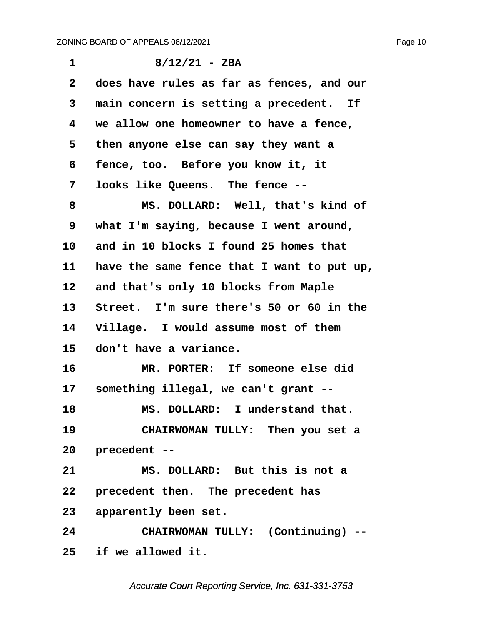<span id="page-10-0"></span>

| $\mathbf 1$  | $8/12/21 - ZBA$                            |
|--------------|--------------------------------------------|
|              |                                            |
| $\mathbf{2}$ | does have rules as far as fences, and our  |
| 3            | main concern is setting a precedent. If    |
| 4            | we allow one homeowner to have a fence,    |
| 5            | then anyone else can say they want a       |
| 6            | fence, too. Before you know it, it         |
| 7            | looks like Queens. The fence --            |
| 8            | MS. DOLLARD: Well, that's kind of          |
| 9            | what I'm saying, because I went around,    |
| 10           | and in 10 blocks I found 25 homes that     |
| 11           | have the same fence that I want to put up, |
| 12           | and that's only 10 blocks from Maple       |
| 13           | Street. I'm sure there's 50 or 60 in the   |
| 14           | Village. I would assume most of them       |
| 15           | don't have a variance.                     |
| 16           | MR. PORTER: If someone else did            |
| $17 \,$      | something illegal, we can't grant --       |
| 18           | MS. DOLLARD: I understand that.            |
| 19           | CHAIRWOMAN TULLY: Then you set a           |
| 20           | precedent --                               |
| 21           | MS. DOLLARD: But this is not a             |
| 22           | precedent then. The precedent has          |
| 23           | apparently been set.                       |
| 24           | CHAIRWOMAN TULLY: (Continuing) --          |
| 25           | if we allowed it.                          |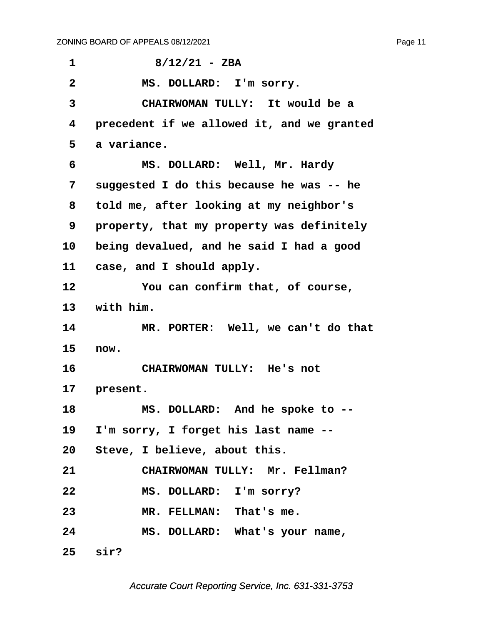<span id="page-11-0"></span>

| 1               | $8/12/21 - ZBA$                            |
|-----------------|--------------------------------------------|
| $\overline{2}$  | MS. DOLLARD: I'm sorry.                    |
| 3               | CHAIRWOMAN TULLY: It would be a            |
| 4               | precedent if we allowed it, and we granted |
| 5               | a variance.                                |
| 6               | MS. DOLLARD: Well, Mr. Hardy               |
| 7               | suggested I do this because he was -- he   |
| 8               | told me, after looking at my neighbor's    |
| 9               | property, that my property was definitely  |
| 10              | being devalued, and he said I had a good   |
| 11              | case, and I should apply.                  |
| 12              | You can confirm that, of course,           |
| 13 <sub>1</sub> | with him.                                  |
| 14              | MR. PORTER: Well, we can't do that         |
| 15              | now.                                       |
| 16              | CHAIRWOMAN TULLY: He's not                 |
| 17              | present.                                   |
| 18              | MS. DOLLARD: And he spoke to --            |
|                 | 19 I'm sorry, I forget his last name --    |
|                 | 20 Steve, I believe, about this.           |
| 21              | CHAIRWOMAN TULLY: Mr. Fellman?             |
| 22              | MS. DOLLARD: I'm sorry?                    |
| 23              | MR. FELLMAN: That's me.                    |
| 24              | MS. DOLLARD: What's your name,             |
|                 | $25$ sir?                                  |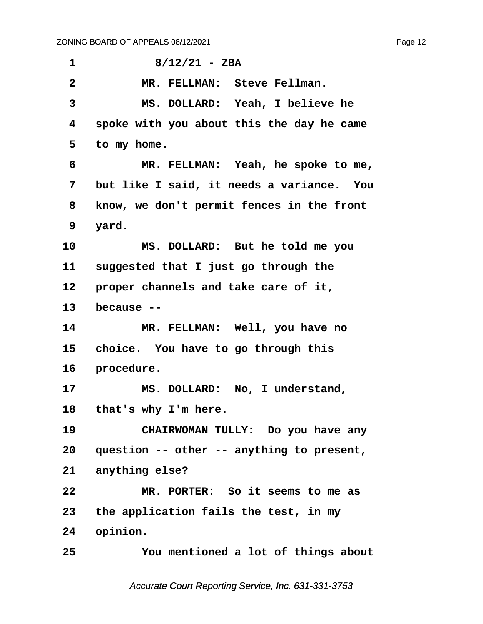<span id="page-12-0"></span>**·1· · · · · · 8/12/21 - ZBA ·2· · · · · MR. FELLMAN:· Steve Fellman. ·3· · · · · MS. DOLLARD:· Yeah, I believe he ·4· ·spoke with you about this the day he came ·5· ·to my home. ·6· · · · · MR. FELLMAN:· Yeah, he spoke to me, ·7· ·but like I said, it needs a variance.· You ·8· ·know, we don't permit fences in the front ·9· ·yard. 10· · · · · MS. DOLLARD:· But he told me you** 11 suggested that I just go through the 12 **proper channels and take care of it,** 13 because --14 MR. FELLMAN: Well, you have no 15 choice. You have to go through this 16 **procedure.** 17 MS. DOLLARD: No, I understand, 18 that's why I'm here. **19· · · · · CHAIRWOMAN TULLY:· Do you have any** 20 question -- other -- anything to present, 21 anything else? **22· · · · · MR. PORTER:· So it seems to me as 23· ·the application fails the test, in my** 24 opinion. **25· · · · · You mentioned a lot of things about**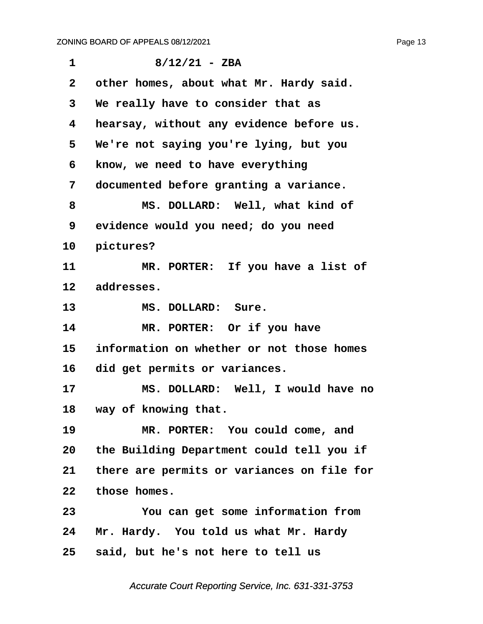<span id="page-13-0"></span>

| $\mathbf{1}$    | $8/12/21 - ZBA$                            |
|-----------------|--------------------------------------------|
| $\mathbf{2}$    | other homes, about what Mr. Hardy said.    |
| 3               | We really have to consider that as         |
| 4               | hearsay, without any evidence before us.   |
| 5               | We're not saying you're lying, but you     |
| 6               | know, we need to have everything           |
| 7               | documented before granting a variance.     |
| 8               | MS. DOLLARD: Well, what kind of            |
| 9               | evidence would you need; do you need       |
| 10              | pictures?                                  |
| 11              | MR. PORTER: If you have a list of          |
| $12 \,$         | addresses.                                 |
| 13              | MS. DOLLARD: Sure.                         |
| 14              | MR. PORTER: Or if you have                 |
| 15              | information on whether or not those homes  |
| 16              | did get permits or variances.              |
| 17              | MS. DOLLARD: Well, I would have no         |
|                 | 18 way of knowing that.                    |
| 19              | MR. PORTER: You could come, and            |
| 20 <sub>o</sub> | the Building Department could tell you if  |
| 21              | there are permits or variances on file for |
| $22 \,$         | those homes.                               |
| 23              | You can get some information from          |
| 24              | Mr. Hardy. You told us what Mr. Hardy      |
| 25              | said, but he's not here to tell us         |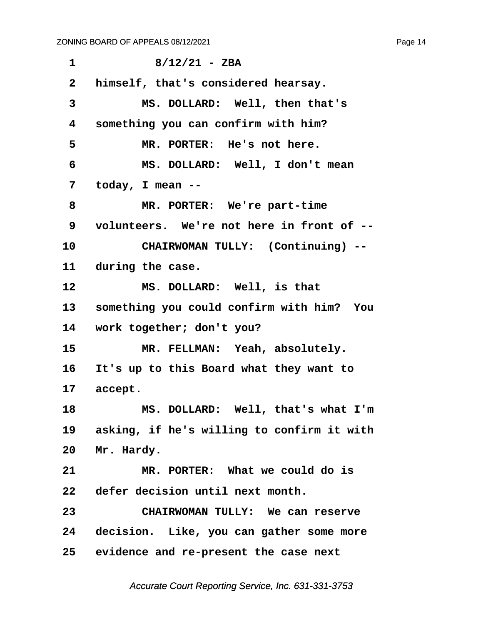<span id="page-14-0"></span>

| $\mathbf{1}$    | $8/12/21 - ZBA$                            |
|-----------------|--------------------------------------------|
| $\mathbf{2}$    | himself, that's considered hearsay.        |
| 3               | MS. DOLLARD: Well, then that's             |
| 4               | something you can confirm with him?        |
| 5               | MR. PORTER: He's not here.                 |
| 6               | MS. DOLLARD: Well, I don't mean            |
| 7               | today, I mean --                           |
| 8               | MR. PORTER: We're part-time                |
| 9               | volunteers. We're not here in front of --  |
| 10              | CHAIRWOMAN TULLY: (Continuing) --          |
| 11              | during the case.                           |
| 12              | MS. DOLLARD: Well, is that                 |
| 13              | something you could confirm with him? You  |
| 14              | work together; don't you?                  |
| 15              | MR. FELLMAN: Yeah, absolutely.             |
| 16              | It's up to this Board what they want to    |
| 17 <sub>2</sub> | accept.                                    |
| 18              | MS. DOLLARD: Well, that's what I'm         |
| 19              | asking, if he's willing to confirm it with |
| 20              | Mr. Hardy.                                 |
| 21              | MR. PORTER: What we could do is            |
| 22              | defer decision until next month.           |
| 23              | CHAIRWOMAN TULLY: We can reserve           |
| 24              | decision. Like, you can gather some more   |
|                 | 25 evidence and re-present the case next   |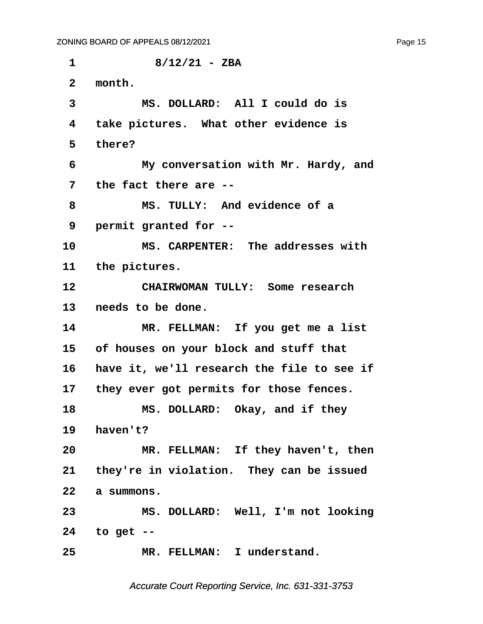<span id="page-15-0"></span>**·1· · · · · · 8/12/21 - ZBA ·2· ·month. ·3· · · · · MS. DOLLARD:· All I could do is ·4· ·take pictures.· What other evidence is ·5· ·there? ·6· · · · · My conversation with Mr. Hardy, and ·7· ·the fact there are -- ·8· · · · · MS. TULLY:· And evidence of a ·9· ·permit granted for --** 10 MS. CARPENTER: The addresses with 11 the pictures. **12· · · · · CHAIRWOMAN TULLY:· Some research** 13 **needs** to be done. 14 MR. FELLMAN: If you get me a list **15· ·of houses on your block and stuff that** 16 have it, we'll research the file to see if 17 they ever got permits for those fences. **18· · · · · MS. DOLLARD:· Okay, and if they 19· ·haven't?** 20 MR. FELLMAN: If they haven't, then 21 they're in violation. They can be issued **22· ·a summons. 23· · · · · MS. DOLLARD:· Well, I'm not looking 24· ·to get --** 25 MR. FELLMAN: I understand.

Accurate Court Reporting Service, Inc. 631-331-3753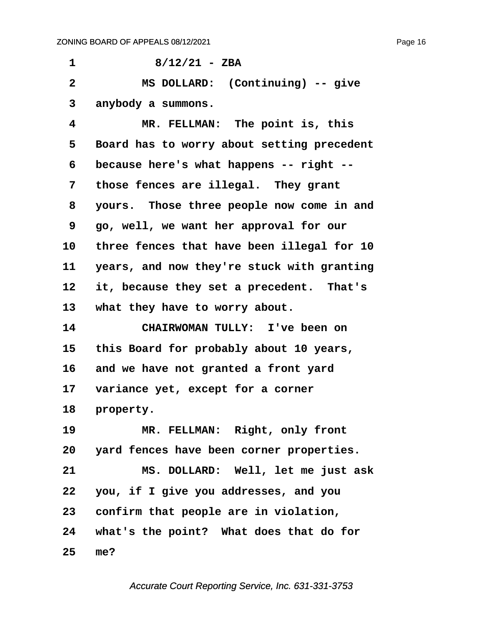<span id="page-16-0"></span>**·1· · · · · · 8/12/21 - ZBA ·2· · · · · MS DOLLARD:· (Continuing) -- give ·3· ·anybody a summons. ·4· · · · · MR. FELLMAN:· The point is, this ·5· ·Board has to worry about setting precedent ·6· ·because here's what happens -- right --** 7 those fences are illegal. They grant **·8· ·yours.· Those three people now come in and ·9· ·go, well, we want her approval for our** 10 three fences that have been illegal for 10 11 years, and now they're stuck with granting 12 it, because they set a precedent. That's 13 what they have to worry about. **14· · · · · CHAIRWOMAN TULLY:· I've been on 15· ·this Board for probably about 10 years,** 16 and we have not granted a front yard 17 variance yet, except for a corner 18 **property.** 19 **MR. FELLMAN: Right, only front 20· ·yard fences have been corner properties. 21· · · · · MS. DOLLARD:· Well, let me just ask 22· ·you, if I give you addresses, and you** 23 confirm that people are in violation, **24· ·what's the point?· What does that do for 25· ·me?**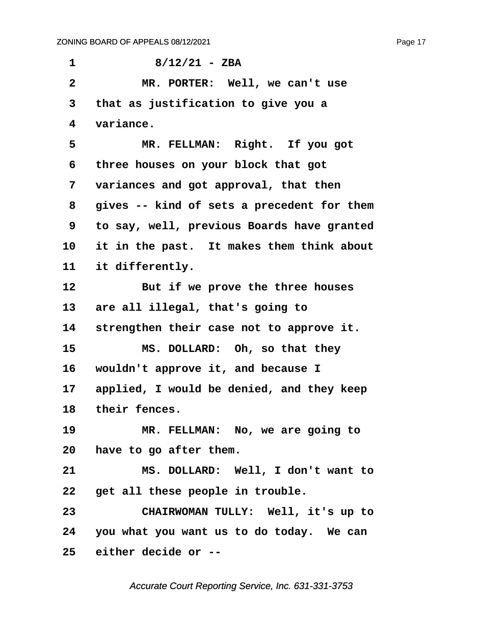<span id="page-17-0"></span>**·1· · · · · · 8/12/21 - ZBA ·2· · · · · MR. PORTER:· Well, we can't use ·3· ·that as justification to give you a ·4· ·variance.** 5 **8 MR. FELLMAN: Right.** If you got **·6· ·three houses on your block that got ·7· ·variances and got approval, that then ·8· ·gives -- kind of sets a precedent for them ·9· ·to say, well, previous Boards have granted** 10 it in the past. It makes them think about 11 it differently. 12 **But if we prove the three houses** 13 are all illegal, that's going to 14 strengthen their case not to approve it. **15· · · · · MS. DOLLARD:· Oh, so that they** 16 wouldn't approve it, and because I 17 **applied, I would be denied, and they keep** 18 their fences. 19 **MR. FELLMAN:** No, we are going to **20· ·have to go after them. 21· · · · · MS. DOLLARD:· Well, I don't want to** 22 get all these people in trouble. **23· · · · · CHAIRWOMAN TULLY:· Well, it's up to 24· ·you what you want us to do today.· We can 25· ·either decide or --**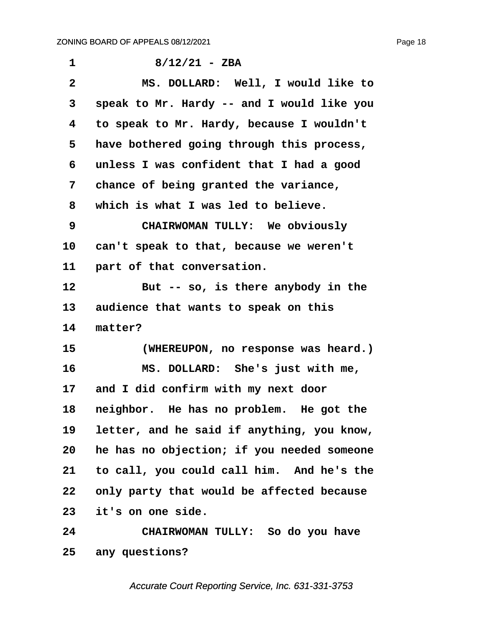<span id="page-18-0"></span>

| 1            | $8/12/21 - ZBA$                            |
|--------------|--------------------------------------------|
| $\mathbf{2}$ | MS. DOLLARD: Well, I would like to         |
| 3            | speak to Mr. Hardy -- and I would like you |
| 4            | to speak to Mr. Hardy, because I wouldn't  |
| 5            | have bothered going through this process,  |
| 6            | unless I was confident that I had a good   |
| 7            | chance of being granted the variance,      |
| 8            | which is what I was led to believe.        |
| 9            | CHAIRWOMAN TULLY: We obviously             |
| 10           | can't speak to that, because we weren't    |
| 11           | part of that conversation.                 |
| 12           | But -- so, is there anybody in the         |
| 13           | audience that wants to speak on this       |
| 14           | matter?                                    |
| 15           | (WHEREUPON, no response was heard.)        |
| 16           | MS. DOLLARD: She's just with me,           |
| 17           | and I did confirm with my next door        |
| 18           | neighbor. He has no problem. He got the    |
| 19           | letter, and he said if anything, you know, |
| 20           | he has no objection; if you needed someone |
| 21           | to call, you could call him. And he's the  |
| 22           | only party that would be affected because  |
| 23           | it's on one side.                          |
| 24           | CHAIRWOMAN TULLY: So do you have           |
| 25           | any questions?                             |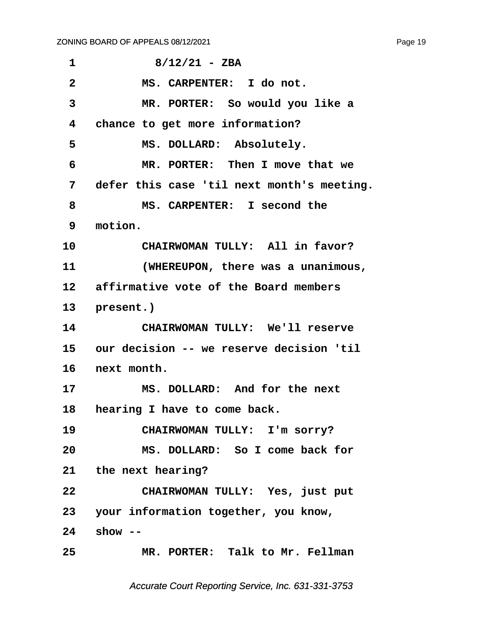<span id="page-19-0"></span>

| 1              | $8/12/21 - ZBA$                             |
|----------------|---------------------------------------------|
| $\overline{2}$ | MS. CARPENTER: I do not.                    |
| 3              | MR. PORTER: So would you like a             |
| 4              | chance to get more information?             |
| 5              | MS. DOLLARD: Absolutely.                    |
| 6              | MR. PORTER: Then I move that we             |
| 7              | defer this case 'til next month's meeting.  |
| 8              | MS. CARPENTER: I second the                 |
| 9              | motion.                                     |
| 10             | CHAIRWOMAN TULLY: All in favor?             |
| 11             | (WHEREUPON, there was a unanimous,          |
|                | 12 affirmative vote of the Board members    |
| 13             | present.)                                   |
| 14             | CHAIRWOMAN TULLY: We'll reserve             |
|                | 15 our decision -- we reserve decision 'til |
| 16             | next month.                                 |
| 17             | MS. DOLLARD: And for the next               |
| 18             | hearing I have to come back.                |
| 19             | CHAIRWOMAN TULLY: I'm sorry?                |
| 20             | MS. DOLLARD: So I come back for             |
|                | 21 the next hearing?                        |
| 22             | CHAIRWOMAN TULLY: Yes, just put             |
|                | 23 your information together, you know,     |
| 24             | show $--$                                   |
| 25             | MR. PORTER: Talk to Mr. Fellman             |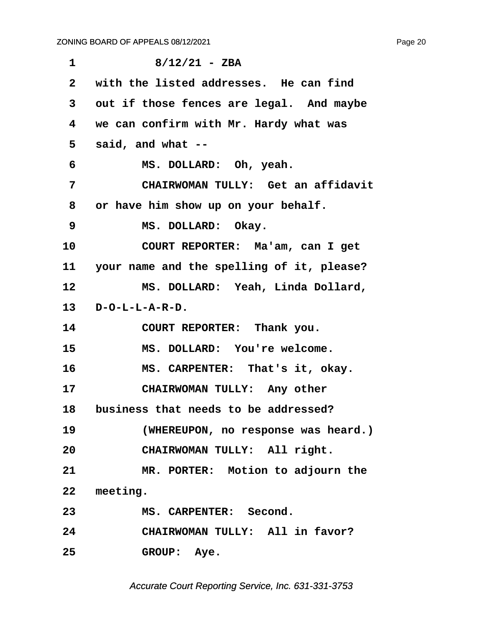<span id="page-20-0"></span>

| $\mathbf 1$  | $8/12/21 - ZBA$                           |
|--------------|-------------------------------------------|
| $\mathbf{2}$ | with the listed addresses. He can find    |
| 3            | out if those fences are legal. And maybe  |
| 4            | we can confirm with Mr. Hardy what was    |
| 5            | said, and what --                         |
| 6            | MS. DOLLARD: Oh, yeah.                    |
| 7            | CHAIRWOMAN TULLY: Get an affidavit        |
| 8            | or have him show up on your behalf.       |
| 9            | MS. DOLLARD: Okay.                        |
| 10           | COURT REPORTER: Ma'am, can I get          |
| 11           | your name and the spelling of it, please? |
| 12           | MS. DOLLARD: Yeah, Linda Dollard,         |
| 13           | $D - O - L - L - A - R - D$ .             |
| 14           | COURT REPORTER: Thank you.                |
| 15           | MS. DOLLARD: You're welcome.              |
| 16           | MS. CARPENTER: That's it, okay.           |
| 17           | CHAIRWOMAN TULLY: Any other               |
|              | 18 business that needs to be addressed?   |
| 19           | (WHEREUPON, no response was heard.)       |
| 20           | CHAIRWOMAN TULLY: All right.              |
| 21           | MR. PORTER: Motion to adjourn the         |
|              | 22 meeting.                               |
| 23           | MS. CARPENTER: Second.                    |
| 24           | CHAIRWOMAN TULLY: All in favor?           |
| 25           | GROUP: Aye.                               |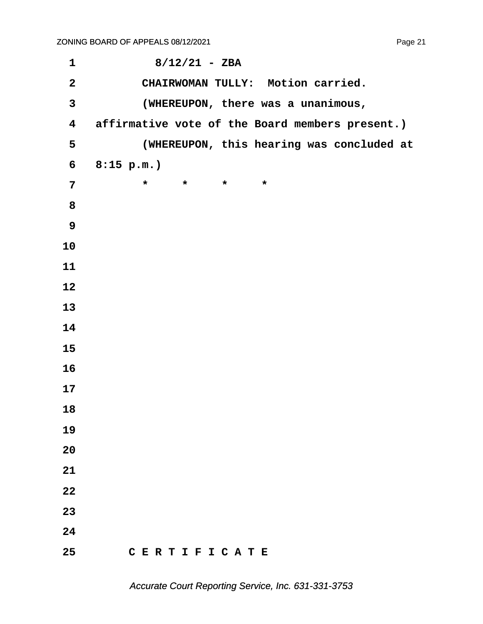| $\mathbf 1$             | $8/12/21 - ZBA$                                 |
|-------------------------|-------------------------------------------------|
| $\overline{2}$          | CHAIRWOMAN TULLY: Motion carried.               |
| $\mathbf{3}$            | (WHEREUPON, there was a unanimous,              |
| $\overline{\textbf{4}}$ | affirmative vote of the Board members present.) |
| 5                       | (WHEREUPON, this hearing was concluded at       |
| 6                       | $8:15$ p.m.)                                    |
| $7\phantom{a}$          | $\star$<br>$\star$<br>$\star$<br>$\star$        |
| 8                       |                                                 |
| 9                       |                                                 |
| 10                      |                                                 |
| 11                      |                                                 |
| 12                      |                                                 |
| 13                      |                                                 |
| 14                      |                                                 |
| 15                      |                                                 |
| 16                      |                                                 |
| 17                      |                                                 |
| 18                      |                                                 |
| 19                      |                                                 |
| 20                      |                                                 |
| 21                      |                                                 |
| 22                      |                                                 |
| 23                      |                                                 |
| 24                      |                                                 |
| 25                      | CERTIFICATE                                     |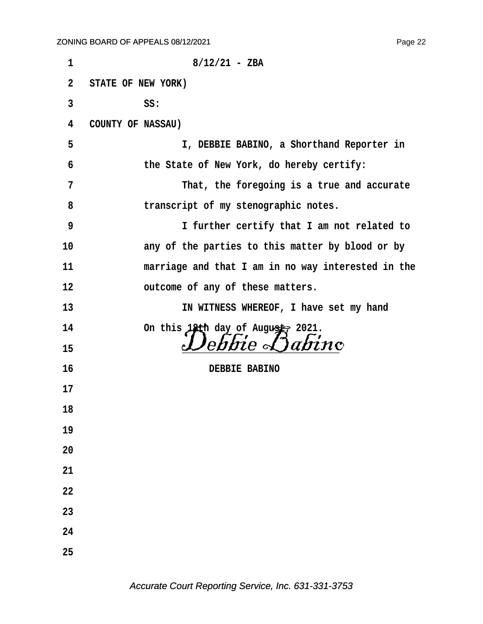**·1· · · · · · · · · · · 8/12/21 - ZBA ·2· ·STATE OF NEW YORK) ·3· · · · · · ·SS: ·4· ·COUNTY OF NASSAU) ·5· · · · · · · · · · I, DEBBIE BABINO, a Shorthand Reporter in ·6· · · · · · ·the State of New York, do hereby certify: ·7· · · · · · · · · · That, the foregoing is a true and accurate ·8· · · · · · ·transcript of my stenographic notes. ·9· · · · · · · · · · I further certify that I am not related to** 10 **any of the parties to this matter by blood or by 11· · · · · · ·marriage and that I am in no way interested in the 12· · · · · · ·outcome of any of these matters.** 13 **13 13 13 11 11 IN WITNESS WHEREOF**, **I** have set my hand 14 On this 18th day of August, 2021. <sup>15</sup> *Debbie Dabino* **16· · · · · · · · · · · · ·DEBBIE BABINO 17 18 19 20 21 22 23 24 25**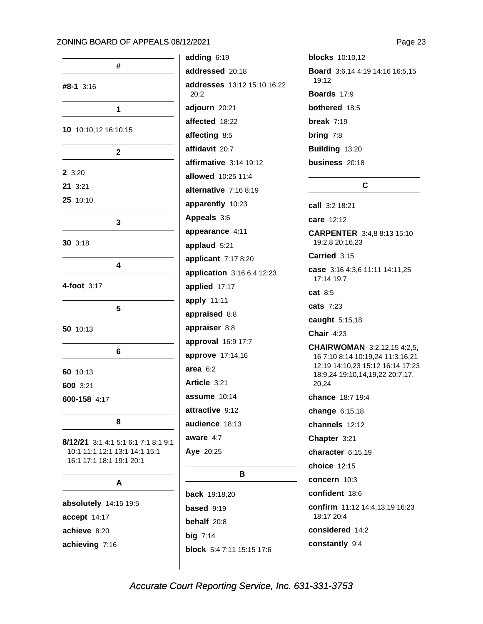| #                                                                                                |  |  |  |
|--------------------------------------------------------------------------------------------------|--|--|--|
| <b>#8-1</b> 3:16                                                                                 |  |  |  |
| 1                                                                                                |  |  |  |
| 10 10:10,12 16:10,15                                                                             |  |  |  |
| 2                                                                                                |  |  |  |
| 2 3:20                                                                                           |  |  |  |
| 21 3:21                                                                                          |  |  |  |
| 25 10:10                                                                                         |  |  |  |
| 3                                                                                                |  |  |  |
| <b>30</b> 3:18                                                                                   |  |  |  |
| 4                                                                                                |  |  |  |
| 4-foot 3:17                                                                                      |  |  |  |
| 5                                                                                                |  |  |  |
| 50 10:13                                                                                         |  |  |  |
| 6                                                                                                |  |  |  |
| 60 10:13                                                                                         |  |  |  |
| 600 3:21                                                                                         |  |  |  |
| 600-158 4:17                                                                                     |  |  |  |
| 8                                                                                                |  |  |  |
| 8/12/21 3:1 4:1 5:1 6:1 7:1 8:1 9:1<br>10:1 11:1 12:1 13:1 14:1 15:1<br>16:1 17:1 18:1 19:1 20:1 |  |  |  |
| А                                                                                                |  |  |  |
| absolutely 14:15 19:5                                                                            |  |  |  |
| accept 14:17                                                                                     |  |  |  |
| achieve 8:20                                                                                     |  |  |  |
| achieving 7:16                                                                                   |  |  |  |

adding 6:19 addressed 20:18 addresses 13:12 15:10 16:22  $20:2$ adjourn 20:21 affected 18:22 affecting 8:5 affidavit 20:7 affirmative  $3:14$  19:12 allowed 10:25 11:4 alternative 7:16 8:19 apparently 10:23 Appeals 3:6 appearance 4:11 applaud 5:21 applicant 7:17 8:20 application 3:16 6:4 12:23 applied 17:17 apply 11:11 appraised 8:8 appraiser 8:8 approval 16:9 17:7 approve 17:14,16 area  $6:2$ Article 3:21 assume  $10:14$ attractive 9:12 audience 18:13 aware  $4:7$ Aye 20:25 B **back** 19:18,20 based 9:19 behalf 20:8 big  $7:14$ 

**blocks** 10:10,12 Board 3:6,14 4:19 14:16 16:5,15  $19:12$ Boards 17:9 bothered 18:5 break  $7:19$ bring  $7:8$ Building 13:20 business 20:18  $\mathbf{C}$ call 3:2 18:21 care 12:12 **CARPENTER** 3:4,8 8:13 15:10 19:2,8 20:16,23 Carried 3:15 case 3:16 4:3,6 11:11 14:11,25 17:14 19:7  $cat 8:5$ **cats** 7:23 caught 5:15,18 Chair  $4:23$ **CHAIRWOMAN** 3:2,12,15 4:2,5, 16 7:10 8:14 10:19,24 11:3,16,21 12:19 14:10,23 15:12 16:14 17:23 18:9.24 19:10.14.19.22 20:7.17.

chance 18:7 19:4

20,24

change 6:15,18

channels 12:12

Chapter 3:21

character 6:15,19

choice 12:15

concern 10:3

confident 18:6

confirm 11:12 14:4,13,19 16:23 18:17 20:4

considered 14:2

constantly 9:4

Accurate Court Reporting Service, Inc. 631-331-3753

block 5:4 7:11 15:15 17:6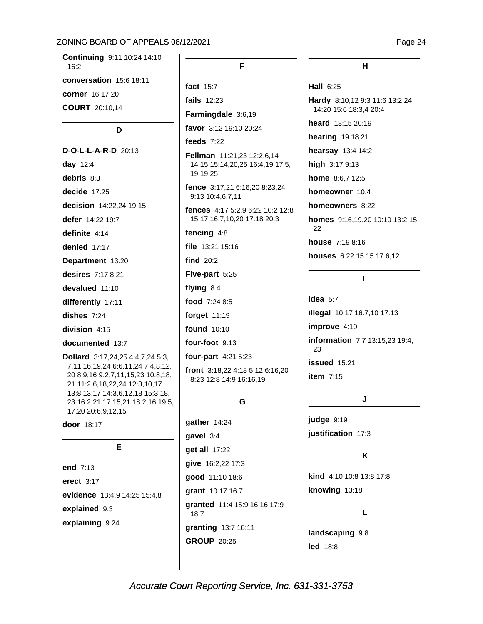Continuing 9:11 10:24 14:10  $16:2$ conversation 15:6 18:11 corner 16:17,20 **COURT** 20:10,14

### D

D-O-L-L-A-R-D 20:13 day 12:4 debris 8:3 decide  $17:25$ decision 14:22,24 19:15 defer 14:22 19:7 definite 4:14 denied 17:17 Department 13:20 desires 7:17 8:21 devalued 11:10 differently 17:11 dishes  $7:24$ division 4:15 documented 13:7 Dollard 3:17,24,25 4:4,7,24 5:3, 7,11,16,19,24 6:6,11,24 7:4,8,12, 20 8:9,16 9:2,7,11,15,23 10:8,18, 21 11:2,6,18,22,24 12:3,10,17 13:8, 13, 17 14:3, 6, 12, 18 15:3, 18, 23 16:2,21 17:15,21 18:2,16 19:5, 17,20 20:6,9,12,15

door 18:17

| F                            |  |  |
|------------------------------|--|--|
| end $7:13$                   |  |  |
| erect $3:17$                 |  |  |
| evidence 13:4,9 14:25 15:4,8 |  |  |
| explained 9:3                |  |  |
| explaining 9:24              |  |  |

F.

fact 15:7

fails 12:23

Farmingdale 3:6,19

favor 3:12 19:10 20:24

### feeds  $7:22$

Fellman 11:21,23 12:2,6,14 14:15 15:14,20,25 16:4,19 17:5, 19 19:25

fence 3:17,21 6:16,20 8:23,24 9:13 10:4,6,7,11

fences 4:17 5:2.9 6:22 10:2 12:8 15:17 16:7,10,20 17:18 20:3

fencing 4:8

file 13:21 15:16

find  $20:2$ 

Five-part 5:25

flying 8:4

food 7:24 8:5

forget 11:19

found 10:10

four-foot 9:13

four-part 4:21 5:23

front 3:18.22 4:18 5:12 6:16.20 8:23 12:8 14:9 16:16,19

### G

gather 14:24 qavel 3:4 get all 17:22 give 16:2,22 17:3 good 11:10 18:6 grant 10:17 16:7 granted 11:4 15:9 16:16 17:9  $18:7$ granting 13:7 16:11 **GROUP 20:25** 

Hall 6:25

Hardy 8:10,12 9:3 11:6 13:2,24 14:20 15:6 18:3,4 20:4

heard 18:15 20:19

hearing 19:18,21

hearsay 13:4 14:2

high 3:17 9:13

home 8:6,7 12:5

homeowner 10:4

homeowners 8:22

homes 9:16,19,20 10:10 13:2,15, 22

 $\mathbf{I}$ 

house 7:19 8:16

houses 6:22 15:15 17:6,12

idea  $5:7$ 

**illegal** 10:17 16:7,10 17:13 improve 4:10 information 7:7 13:15,23 19:4, 23

issued 15:21 item  $7:15$ 

J

judge 9:19 justification 17:3

### K

kind 4:10 10:8 13:8 17:8 knowing 13:18

L

landscaping 9:8 **led** 18:8

Page 24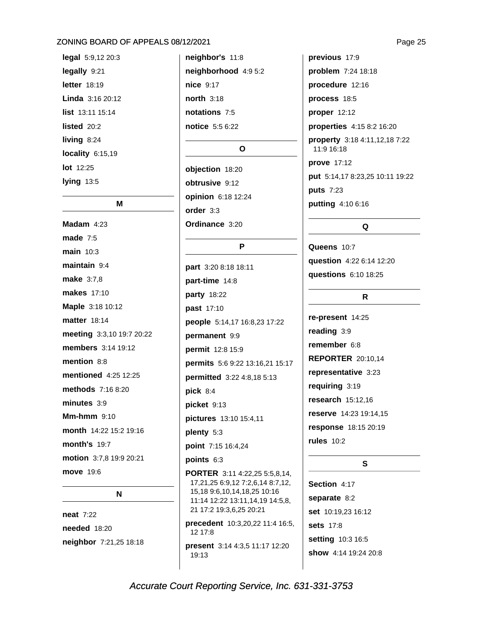legal 5:9,12 20:3 legally 9:21 letter 18:19 Linda 3:16 20:12 list 13:11 15:14 listed 20:2 living  $8:24$ locality  $6:15,19$ lot 12:25 lying  $13:5$ 

### M

Madam  $4:23$ made  $7:5$ main 10:3 maintain 9:4 make 3:7.8 makes 17:10 Maple 3:18 10:12 **matter** 18:14 meeting 3:3,10 19:7 20:22 members 3:14 19:12 mention 8:8 mentioned 4:25 12:25 methods 7:16 8:20 minutes  $3:9$ **Mm-hmm** 9:10 month 14:22 15:2 19:16 **month's 19:7** motion 3:7,8 19:9 20:21 move 19:6

N

**neat** 7:22 **needed** 18:20 neighbor 7:21,25 18:18 neighbor's 11:8 neighborhood 4:9 5:2 nice 9:17 north 3:18 notations 7:5 notice 5:5 6:22

### $\Omega$

objection 18:20 obtrusive 9:12 opinion 6:18 12:24 order 3:3 Ordinance 3:20

### P

part 3:20 8:18 18:11 part-time 14:8 party 18:22 past 17:10 people 5:14,17 16:8,23 17:22 permanent 9:9 permit 12:8 15:9 permits 5:6 9:22 13:16,21 15:17 permitted 3:22 4:8,18 5:13 pick  $8:4$ picket 9:13 pictures 13:10 15:4,11 plenty 5:3 point 7:15 16:4,24 points 6:3 **PORTER** 3:11 4:22,25 5:5,8,14, 17,21,25 6:9,12 7:2,6,14 8:7,12,

15,18 9:6,10,14,18,25 10:16 11:14 12:22 13:11,14,19 14:5,8, 21 17:2 19:3,6,25 20:21

precedent 10:3,20,22 11:4 16:5, 12 17:8

present 3:14 4:3,5 11:17 12:20 19:13

previous 17:9 **problem** 7:24 18:18 procedure 12:16 process 18:5 proper 12:12 properties 4:15 8:2 16:20 property 3:18 4:11,12,18 7:22 11:9 16:18 prove 17:12 put 5:14,17 8:23,25 10:11 19:22 puts 7:23 putting 4:10 6:16

### Q

Queens 10:7 question 4:22 6:14 12:20 **questions** 6:10 18:25

### $\mathsf{R}$

re-present 14:25 reading 3:9 remember 6:8 **REPORTER 20:10.14** representative 3:23 requiring 3:19 research 15:12,16 reserve 14:23 19:14,15 response 18:15 20:19 rules  $10:2$ 

### S.

Section 4:17 separate 8:2 set 10:19,23 16:12 **sets** 17:8 setting 10:3 16:5 show 4:14 19:24 20:8

Accurate Court Reporting Service, Inc. 631-331-3753